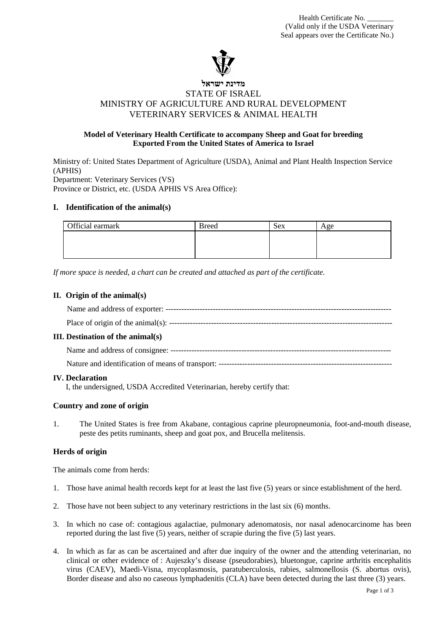

## **מדינת ישראל** STATE OF ISRAEL MINISTRY OF AGRICULTURE AND RURAL DEVELOPMENT VETERINARY SERVICES & ANIMAL HEALTH

## **Model of Veterinary Health Certificate to accompany Sheep and Goat for breeding Exported From the United States of America to Israel**

Ministry of: United States Department of Agriculture (USDA), Animal and Plant Health Inspection Service (APHIS) Department: Veterinary Services (VS) Province or District, etc. (USDA APHIS VS Area Office):

#### **I. Identification of the animal(s)**

| Official earmark | <b>Breed</b> | ۰ex | Age |
|------------------|--------------|-----|-----|
|                  |              |     |     |
|                  |              |     |     |
|                  |              |     |     |

*If more space is needed, a chart can be created and attached as part of the certificate.*

#### **II. Origin of the animal(s)**

| <b>III.</b> Destination of the animal(s) |  |  |
|------------------------------------------|--|--|
|                                          |  |  |
|                                          |  |  |
|                                          |  |  |

#### **IV. Declaration**

I, the undersigned, USDA Accredited Veterinarian, hereby certify that:

## **Country and zone of origin**

1. The United States is free from Akabane, contagious caprine pleuropneumonia, foot-and-mouth disease, peste des petits ruminants, sheep and goat pox, and Brucella melitensis.

## **Herds of origin**

The animals come from herds:

- 1. Those have animal health records kept for at least the last five (5) years or since establishment of the herd.
- 2. Those have not been subject to any veterinary restrictions in the last six (6) months.
- 3. In which no case of: contagious agalactiae, pulmonary adenomatosis, nor nasal adenocarcinome has been reported during the last five (5) years, neither of scrapie during the five (5) last years.
- 4. In which as far as can be ascertained and after due inquiry of the owner and the attending veterinarian, no clinical or other evidence of : Aujeszky's disease (pseudorabies), bluetongue, caprine arthritis encephalitis virus (CAEV), Maedi-Visna, mycoplasmosis, paratuberculosis, rabies, salmonellosis (S. abortus ovis), Border disease and also no caseous lymphadenitis (CLA) have been detected during the last three (3) years.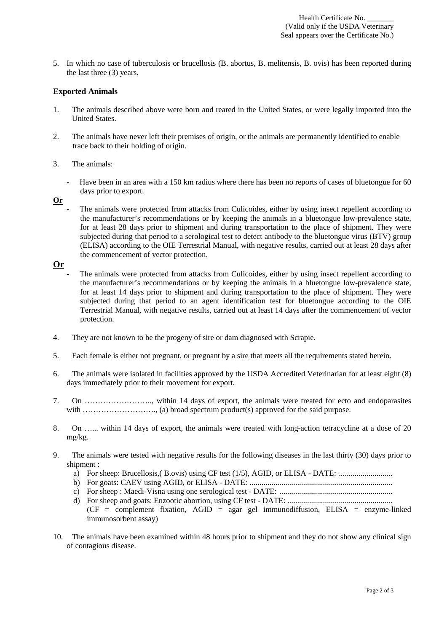Health Certificate No. (Valid only if the USDA Veterinary Seal appears over the Certificate No.)

5. In which no case of tuberculosis or brucellosis (B. abortus, B. melitensis, B. ovis) has been reported during the last three (3) years.

#### **Exported Animals**

- 1. The animals described above were born and reared in the United States, or were legally imported into the United States.
- 2. The animals have never left their premises of origin, or the animals are permanently identified to enable trace back to their holding of origin.
- 3. The animals:
	- Have been in an area with a 150 km radius where there has been no reports of cases of bluetongue for 60 days prior to export.
- **Or**
	- The animals were protected from attacks from Culicoides, either by using insect repellent according to the manufacturer's recommendations or by keeping the animals in a bluetongue low-prevalence state, for at least 28 days prior to shipment and during transportation to the place of shipment. They were subjected during that period to a serological test to detect antibody to the bluetongue virus (BTV) group (ELISA) according to the OIE Terrestrial Manual, with negative results, carried out at least 28 days after the commencement of vector protection.

# **Or**

- The animals were protected from attacks from Culicoides, either by using insect repellent according to the manufacturer's recommendations or by keeping the animals in a bluetongue low-prevalence state, for at least 14 days prior to shipment and during transportation to the place of shipment. They were subjected during that period to an agent identification test for bluetongue according to the OIE Terrestrial Manual, with negative results, carried out at least 14 days after the commencement of vector protection.
- 4. They are not known to be the progeny of sire or dam diagnosed with Scrapie.
- 5. Each female is either not pregnant, or pregnant by a sire that meets all the requirements stated herein.
- 6. The animals were isolated in facilities approved by the USDA Accredited Veterinarian for at least eight (8) days immediately prior to their movement for export.
- 7. On …………………….., within 14 days of export, the animals were treated for ecto and endoparasites with ………………………., (a) broad spectrum product(s) approved for the said purpose.
- 8. On …… within 14 days of export, the animals were treated with long-action tetracycline at a dose of 20 mg/kg.
- 9. The animals were tested with negative results for the following diseases in the last thirty (30) days prior to shipment :
	- a) For sheep: Brucellosis,( B.ovis) using CF test (1/5), AGID, or ELISA DATE: ..............................
	- b) For goats: CAEV using AGID, or ELISA DATE: ........................................................................
	- c) For sheep : Maedi-Visna using one serological test DATE: .........................................................
	- d) For sheep and goats: Enzootic abortion, using CF test DATE: .....................................................  $(CF = complement$  fixation,  $AGID = agar$  gel immunodiffusion,  $ELISA = enzyme-linked$ immunosorbent assay)
- 10. The animals have been examined within 48 hours prior to shipment and they do not show any clinical sign of contagious disease.